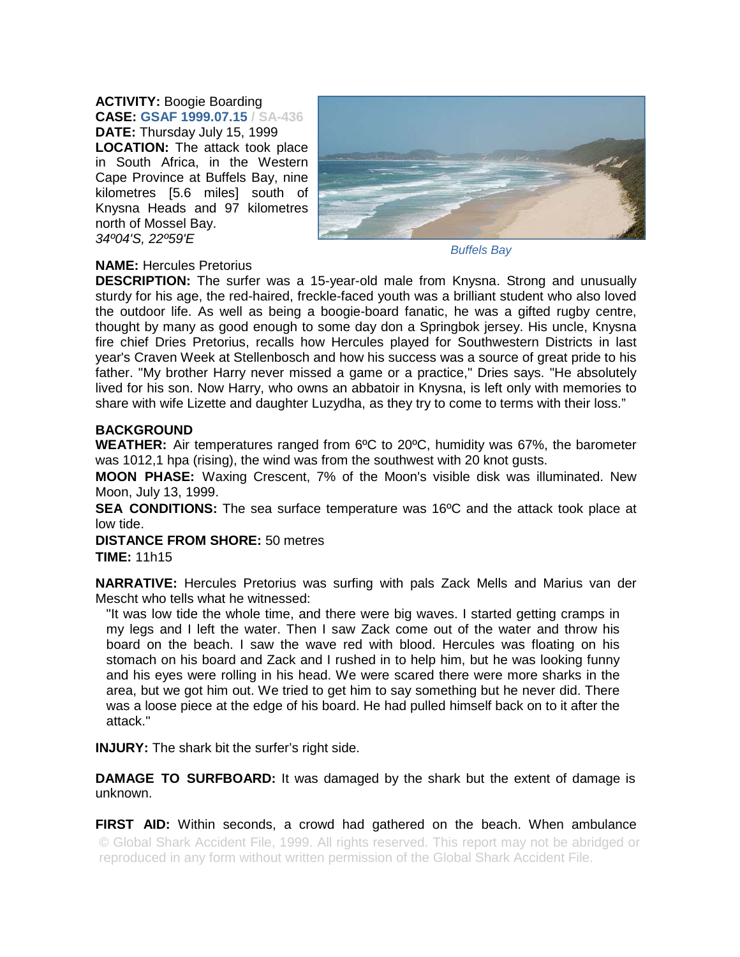**ACTIVITY:** Boogie Boarding **CASE: GSAF 1999.07.15 / SA-436 DATE:** Thursday July 15, 1999 **LOCATION:** The attack took place in South Africa, in the Western Cape Province at Buffels Bay, nine kilometres [5.6 miles] south of Knysna Heads and 97 kilometres north of Mossel Bay. *34º04'S, 22º59'E* 



*Buffels Bay* 

## **NAME:** Hercules Pretorius

**DESCRIPTION:** The surfer was a 15-year-old male from Knysna. Strong and unusually sturdy for his age, the red-haired, freckle-faced youth was a brilliant student who also loved the outdoor life. As well as being a boogie-board fanatic, he was a gifted rugby centre, thought by many as good enough to some day don a Springbok jersey. His uncle, Knysna fire chief Dries Pretorius, recalls how Hercules played for Southwestern Districts in last year's Craven Week at Stellenbosch and how his success was a source of great pride to his father. "My brother Harry never missed a game or a practice," Dries says. "He absolutely lived for his son. Now Harry, who owns an abbatoir in Knysna, is left only with memories to share with wife Lizette and daughter Luzydha, as they try to come to terms with their loss."

## **BACKGROUND**

**WEATHER:** Air temperatures ranged from 6ºC to 20ºC, humidity was 67%, the barometer was 1012,1 hpa (rising), the wind was from the southwest with 20 knot gusts.

**MOON PHASE:** Waxing Crescent, 7% of the Moon's visible disk was illuminated. New Moon, July 13, 1999.

**SEA CONDITIONS:** The sea surface temperature was 16ºC and the attack took place at low tide.

**DISTANCE FROM SHORE:** 50 metres **TIME:** 11h15

**NARRATIVE:** Hercules Pretorius was surfing with pals Zack Mells and Marius van der Mescht who tells what he witnessed:

"It was low tide the whole time, and there were big waves. I started getting cramps in my legs and I left the water. Then I saw Zack come out of the water and throw his board on the beach. I saw the wave red with blood. Hercules was floating on his stomach on his board and Zack and I rushed in to help him, but he was looking funny and his eyes were rolling in his head. We were scared there were more sharks in the area, but we got him out. We tried to get him to say something but he never did. There was a loose piece at the edge of his board. He had pulled himself back on to it after the attack."

**INJURY:** The shark bit the surfer's right side.

**DAMAGE TO SURFBOARD:** It was damaged by the shark but the extent of damage is unknown.

**FIRST AID:** Within seconds, a crowd had gathered on the beach. When ambulance © Global Shark Accident File, 1999. All rights reserved. This report may not be abridged or reproduced in any form without written permission of the Global Shark Accident File.